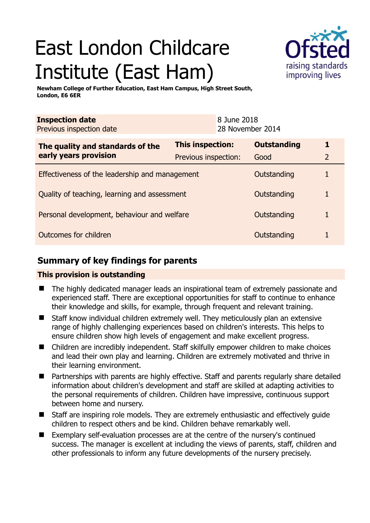# East London Childcare Institute (East Ham)



**Newham College of Further Education, East Ham Campus, High Street South, London, E6 6ER** 

| <b>Inspection date</b><br>Previous inspection date        |                      | 8 June 2018<br>28 November 2014 |                    |                |
|-----------------------------------------------------------|----------------------|---------------------------------|--------------------|----------------|
| The quality and standards of the<br>early years provision | This inspection:     |                                 | <b>Outstanding</b> |                |
|                                                           | Previous inspection: |                                 | Good               | $\overline{2}$ |
| Effectiveness of the leadership and management            |                      |                                 | Outstanding        |                |
| Quality of teaching, learning and assessment              |                      |                                 | Outstanding        |                |
| Personal development, behaviour and welfare               |                      |                                 | Outstanding        |                |
| Outcomes for children                                     |                      |                                 | Outstanding        |                |

# **Summary of key findings for parents**

## **This provision is outstanding**

- The highly dedicated manager leads an inspirational team of extremely passionate and experienced staff. There are exceptional opportunities for staff to continue to enhance their knowledge and skills, for example, through frequent and relevant training.
- Staff know individual children extremely well. They meticulously plan an extensive range of highly challenging experiences based on children's interests. This helps to ensure children show high levels of engagement and make excellent progress.
- Children are incredibly independent. Staff skilfully empower children to make choices and lead their own play and learning. Children are extremely motivated and thrive in their learning environment.
- Partnerships with parents are highly effective. Staff and parents regularly share detailed information about children's development and staff are skilled at adapting activities to the personal requirements of children. Children have impressive, continuous support between home and nursery.
- Staff are inspiring role models. They are extremely enthusiastic and effectively guide children to respect others and be kind. Children behave remarkably well.
- Exemplary self-evaluation processes are at the centre of the nursery's continued success. The manager is excellent at including the views of parents, staff, children and other professionals to inform any future developments of the nursery precisely.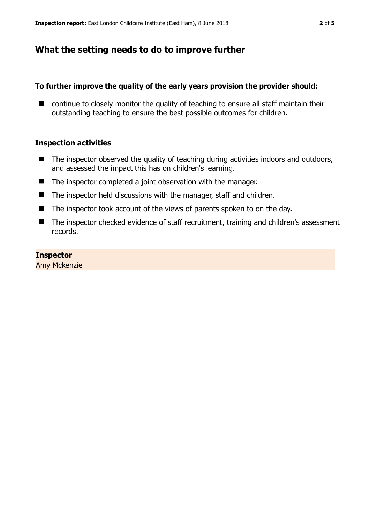## **What the setting needs to do to improve further**

### **To further improve the quality of the early years provision the provider should:**

■ continue to closely monitor the quality of teaching to ensure all staff maintain their outstanding teaching to ensure the best possible outcomes for children.

### **Inspection activities**

- $\blacksquare$  The inspector observed the quality of teaching during activities indoors and outdoors, and assessed the impact this has on children's learning.
- The inspector completed a joint observation with the manager.
- $\blacksquare$  The inspector held discussions with the manager, staff and children.
- The inspector took account of the views of parents spoken to on the day.
- The inspector checked evidence of staff recruitment, training and children's assessment records.

#### **Inspector**

Amy Mckenzie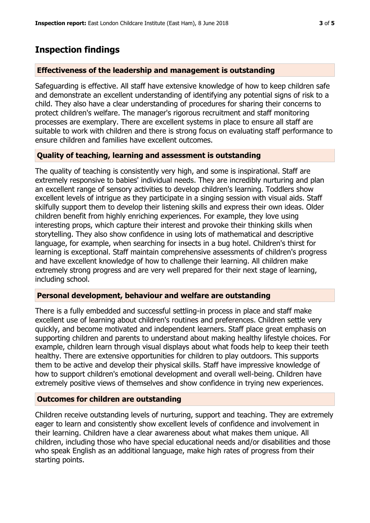# **Inspection findings**

## **Effectiveness of the leadership and management is outstanding**

Safeguarding is effective. All staff have extensive knowledge of how to keep children safe and demonstrate an excellent understanding of identifying any potential signs of risk to a child. They also have a clear understanding of procedures for sharing their concerns to protect children's welfare. The manager's rigorous recruitment and staff monitoring processes are exemplary. There are excellent systems in place to ensure all staff are suitable to work with children and there is strong focus on evaluating staff performance to ensure children and families have excellent outcomes.

## **Quality of teaching, learning and assessment is outstanding**

The quality of teaching is consistently very high, and some is inspirational. Staff are extremely responsive to babies' individual needs. They are incredibly nurturing and plan an excellent range of sensory activities to develop children's learning. Toddlers show excellent levels of intrigue as they participate in a singing session with visual aids. Staff skilfully support them to develop their listening skills and express their own ideas. Older children benefit from highly enriching experiences. For example, they love using interesting props, which capture their interest and provoke their thinking skills when storytelling. They also show confidence in using lots of mathematical and descriptive language, for example, when searching for insects in a bug hotel. Children's thirst for learning is exceptional. Staff maintain comprehensive assessments of children's progress and have excellent knowledge of how to challenge their learning. All children make extremely strong progress and are very well prepared for their next stage of learning, including school.

## **Personal development, behaviour and welfare are outstanding**

There is a fully embedded and successful settling-in process in place and staff make excellent use of learning about children's routines and preferences. Children settle very quickly, and become motivated and independent learners. Staff place great emphasis on supporting children and parents to understand about making healthy lifestyle choices. For example, children learn through visual displays about what foods help to keep their teeth healthy. There are extensive opportunities for children to play outdoors. This supports them to be active and develop their physical skills. Staff have impressive knowledge of how to support children's emotional development and overall well-being. Children have extremely positive views of themselves and show confidence in trying new experiences.

## **Outcomes for children are outstanding**

Children receive outstanding levels of nurturing, support and teaching. They are extremely eager to learn and consistently show excellent levels of confidence and involvement in their learning. Children have a clear awareness about what makes them unique. All children, including those who have special educational needs and/or disabilities and those who speak English as an additional language, make high rates of progress from their starting points.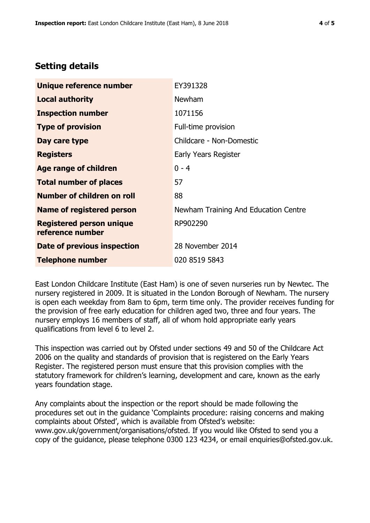## **Setting details**

| Unique reference number                             | EY391328                             |  |
|-----------------------------------------------------|--------------------------------------|--|
| <b>Local authority</b>                              | Newham                               |  |
| <b>Inspection number</b>                            | 1071156                              |  |
| <b>Type of provision</b>                            | Full-time provision                  |  |
| Day care type                                       | Childcare - Non-Domestic             |  |
| <b>Registers</b>                                    | Early Years Register                 |  |
| <b>Age range of children</b>                        | $0 - 4$                              |  |
| <b>Total number of places</b>                       | 57                                   |  |
| Number of children on roll                          | 88                                   |  |
| Name of registered person                           | Newham Training And Education Centre |  |
| <b>Registered person unique</b><br>reference number | RP902290                             |  |
| Date of previous inspection                         | 28 November 2014                     |  |
| <b>Telephone number</b>                             | 020 8519 5843                        |  |

East London Childcare Institute (East Ham) is one of seven nurseries run by Newtec. The nursery registered in 2009. It is situated in the London Borough of Newham. The nursery is open each weekday from 8am to 6pm, term time only. The provider receives funding for the provision of free early education for children aged two, three and four years. The nursery employs 16 members of staff, all of whom hold appropriate early years qualifications from level 6 to level 2.

This inspection was carried out by Ofsted under sections 49 and 50 of the Childcare Act 2006 on the quality and standards of provision that is registered on the Early Years Register. The registered person must ensure that this provision complies with the statutory framework for children's learning, development and care, known as the early years foundation stage.

Any complaints about the inspection or the report should be made following the procedures set out in the guidance 'Complaints procedure: raising concerns and making complaints about Ofsted', which is available from Ofsted's website: www.gov.uk/government/organisations/ofsted. If you would like Ofsted to send you a copy of the guidance, please telephone 0300 123 4234, or email enquiries@ofsted.gov.uk.